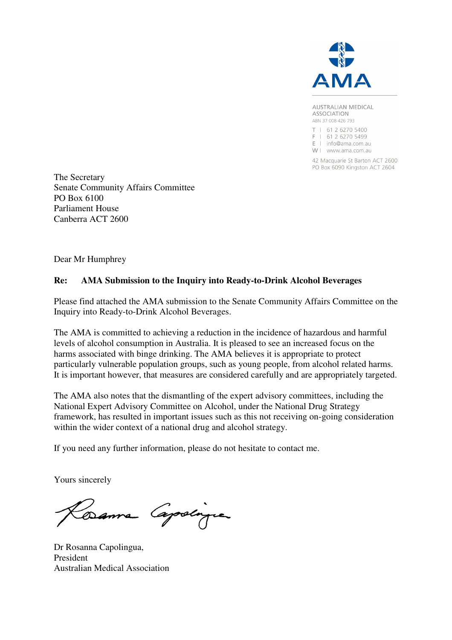

**AUSTRALIAN MEDICAL ASSOCIATION** ABN 37 008 426 793 T | 61 2 6270 5400 F | 61 2 6270 5499  $E$  | info@ama.com.au W | www.ama.com.au

42 Macquarie St Barton ACT 2600 PO Box 6090 Kingston ACT 2604

The Secretary Senate Community Affairs Committee PO Box 6100 Parliament House Canberra ACT 2600

Dear Mr Humphrey

## **Re: AMA Submission to the Inquiry into Ready-to-Drink Alcohol Beverages**

Please find attached the AMA submission to the Senate Community Affairs Committee on the Inquiry into Ready-to-Drink Alcohol Beverages.

The AMA is committed to achieving a reduction in the incidence of hazardous and harmful levels of alcohol consumption in Australia. It is pleased to see an increased focus on the harms associated with binge drinking. The AMA believes it is appropriate to protect particularly vulnerable population groups, such as young people, from alcohol related harms. It is important however, that measures are considered carefully and are appropriately targeted.

The AMA also notes that the dismantling of the expert advisory committees, including the National Expert Advisory Committee on Alcohol, under the National Drug Strategy framework, has resulted in important issues such as this not receiving on-going consideration within the wider context of a national drug and alcohol strategy.

If you need any further information, please do not hesitate to contact me.

Yours sincerely

Danna Capolingue

Dr Rosanna Capolingua, President Australian Medical Association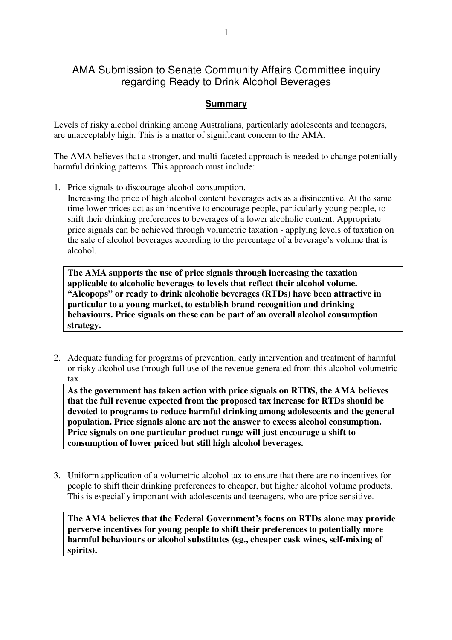# AMA Submission to Senate Community Affairs Committee inquiry regarding Ready to Drink Alcohol Beverages

### **Summary**

Levels of risky alcohol drinking among Australians, particularly adolescents and teenagers, are unacceptably high. This is a matter of significant concern to the AMA.

The AMA believes that a stronger, and multi-faceted approach is needed to change potentially harmful drinking patterns. This approach must include:

1. Price signals to discourage alcohol consumption. Increasing the price of high alcohol content beverages acts as a disincentive. At the same time lower prices act as an incentive to encourage people, particularly young people, to shift their drinking preferences to beverages of a lower alcoholic content. Appropriate price signals can be achieved through volumetric taxation - applying levels of taxation on the sale of alcohol beverages according to the percentage of a beverage's volume that is alcohol.

**The AMA supports the use of price signals through increasing the taxation applicable to alcoholic beverages to levels that reflect their alcohol volume. "Alcopops" or ready to drink alcoholic beverages (RTDs) have been attractive in particular to a young market, to establish brand recognition and drinking behaviours. Price signals on these can be part of an overall alcohol consumption strategy.**

2. Adequate funding for programs of prevention, early intervention and treatment of harmful or risky alcohol use through full use of the revenue generated from this alcohol volumetric tax.

**As the government has taken action with price signals on RTDS, the AMA believes that the full revenue expected from the proposed tax increase for RTDs should be devoted to programs to reduce harmful drinking among adolescents and the general population. Price signals alone are not the answer to excess alcohol consumption. Price signals on one particular product range will just encourage a shift to consumption of lower priced but still high alcohol beverages.** 

3. Uniform application of a volumetric alcohol tax to ensure that there are no incentives for people to shift their drinking preferences to cheaper, but higher alcohol volume products. This is especially important with adolescents and teenagers, who are price sensitive.

**The AMA believes that the Federal Government's focus on RTDs alone may provide perverse incentives for young people to shift their preferences to potentially more harmful behaviours or alcohol substitutes (eg., cheaper cask wines, self-mixing of spirits).**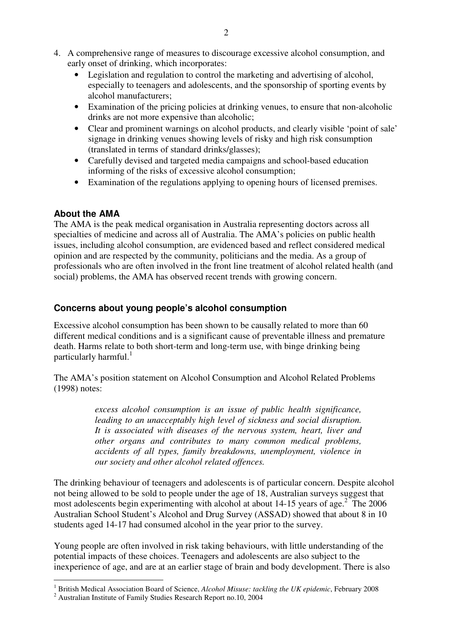- 4. A comprehensive range of measures to discourage excessive alcohol consumption, and early onset of drinking, which incorporates:
	- Legislation and regulation to control the marketing and advertising of alcohol, especially to teenagers and adolescents, and the sponsorship of sporting events by alcohol manufacturers;
	- Examination of the pricing policies at drinking venues, to ensure that non-alcoholic drinks are not more expensive than alcoholic;
	- Clear and prominent warnings on alcohol products, and clearly visible 'point of sale' signage in drinking venues showing levels of risky and high risk consumption (translated in terms of standard drinks/glasses);
	- Carefully devised and targeted media campaigns and school-based education informing of the risks of excessive alcohol consumption;
	- Examination of the regulations applying to opening hours of licensed premises.

# **About the AMA**

The AMA is the peak medical organisation in Australia representing doctors across all specialties of medicine and across all of Australia. The AMA's policies on public health issues, including alcohol consumption, are evidenced based and reflect considered medical opinion and are respected by the community, politicians and the media. As a group of professionals who are often involved in the front line treatment of alcohol related health (and social) problems, the AMA has observed recent trends with growing concern.

# **Concerns about young people's alcohol consumption**

Excessive alcohol consumption has been shown to be causally related to more than 60 different medical conditions and is a significant cause of preventable illness and premature death. Harms relate to both short-term and long-term use, with binge drinking being particularly harmful.<sup>1</sup>

The AMA's position statement on Alcohol Consumption and Alcohol Related Problems (1998) notes:

> *excess alcohol consumption is an issue of public health significance, leading to an unacceptably high level of sickness and social disruption. It is associated with diseases of the nervous system, heart, liver and other organs and contributes to many common medical problems, accidents of all types, family breakdowns, unemployment, violence in our society and other alcohol related offences.*

The drinking behaviour of teenagers and adolescents is of particular concern. Despite alcohol not being allowed to be sold to people under the age of 18, Australian surveys suggest that most adolescents begin experimenting with alcohol at about 14-15 years of age.<sup>2</sup> The 2006 Australian School Student's Alcohol and Drug Survey (ASSAD) showed that about 8 in 10 students aged 14-17 had consumed alcohol in the year prior to the survey.

Young people are often involved in risk taking behaviours, with little understanding of the potential impacts of these choices. Teenagers and adolescents are also subject to the inexperience of age, and are at an earlier stage of brain and body development. There is also

 $\overline{a}$ <sup>1</sup> British Medical Association Board of Science, *Alcohol Misuse: tackling the UK epidemic*, February 2008

 $2$  Australian Institute of Family Studies Research Report no.10, 2004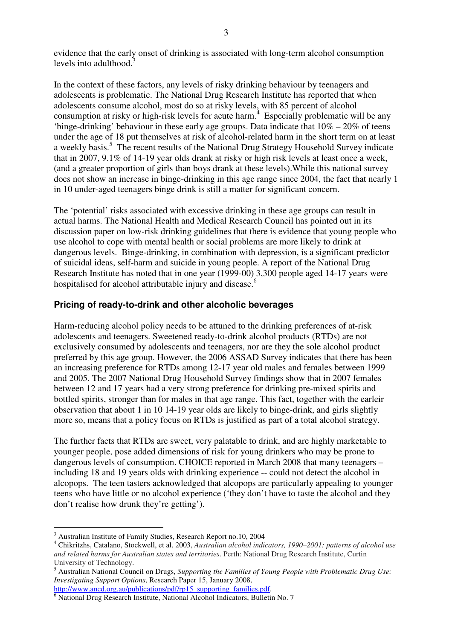evidence that the early onset of drinking is associated with long-term alcohol consumption levels into adulthood.

In the context of these factors, any levels of risky drinking behaviour by teenagers and adolescents is problematic. The National Drug Research Institute has reported that when adolescents consume alcohol, most do so at risky levels, with 85 percent of alcohol consumption at risky or high-risk levels for acute harm.<sup>4</sup> Especially problematic will be any 'binge-drinking' behaviour in these early age groups. Data indicate that 10% – 20% of teens under the age of 18 put themselves at risk of alcohol-related harm in the short term on at least a weekly basis.<sup>5</sup> The recent results of the National Drug Strategy Household Survey indicate that in 2007, 9.1% of 14-19 year olds drank at risky or high risk levels at least once a week, (and a greater proportion of girls than boys drank at these levels).While this national survey does not show an increase in binge-drinking in this age range since 2004, the fact that nearly 1 in 10 under-aged teenagers binge drink is still a matter for significant concern.

The 'potential' risks associated with excessive drinking in these age groups can result in actual harms. The National Health and Medical Research Council has pointed out in its discussion paper on low-risk drinking guidelines that there is evidence that young people who use alcohol to cope with mental health or social problems are more likely to drink at dangerous levels. Binge-drinking, in combination with depression, is a significant predictor of suicidal ideas, self-harm and suicide in young people. A report of the National Drug Research Institute has noted that in one year (1999-00) 3,300 people aged 14-17 years were hospitalised for alcohol attributable injury and disease.<sup>6</sup>

#### **Pricing of ready-to-drink and other alcoholic beverages**

Harm-reducing alcohol policy needs to be attuned to the drinking preferences of at-risk adolescents and teenagers. Sweetened ready-to-drink alcohol products (RTDs) are not exclusively consumed by adolescents and teenagers, nor are they the sole alcohol product preferred by this age group. However, the 2006 ASSAD Survey indicates that there has been an increasing preference for RTDs among 12-17 year old males and females between 1999 and 2005. The 2007 National Drug Household Survey findings show that in 2007 females between 12 and 17 years had a very strong preference for drinking pre-mixed spirits and bottled spirits, stronger than for males in that age range. This fact, together with the earleir observation that about 1 in 10 14-19 year olds are likely to binge-drink, and girls slightly more so, means that a policy focus on RTDs is justified as part of a total alcohol strategy.

The further facts that RTDs are sweet, very palatable to drink, and are highly marketable to younger people, pose added dimensions of risk for young drinkers who may be prone to dangerous levels of consumption. CHOICE reported in March 2008 that many teenagers – including 18 and 19 years olds with drinking experience -- could not detect the alcohol in alcopops. The teen tasters acknowledged that alcopops are particularly appealing to younger teens who have little or no alcohol experience ('they don't have to taste the alcohol and they don't realise how drunk they're getting').

 $\overline{a}$ 

<sup>&</sup>lt;sup>3</sup> Australian Institute of Family Studies, Research Report no.10, 2004

<sup>4</sup> Chikritzhs, Catalano, Stockwell, et al, 2003, *Australian alcohol indicators, 1990–2001: patterns of alcohol use and related harms for Australian states and territories*. Perth: National Drug Research Institute, Curtin University of Technology.

<sup>5</sup> Australian National Council on Drugs, *Supporting the Families of Young People with Problematic Drug Use: Investigating Support Options*, Research Paper 15, January 2008,

http://www.ancd.org.au/publications/pdf/rp15\_supporting\_families.pdf.

<sup>6</sup> National Drug Research Institute, National Alcohol Indicators, Bulletin No. 7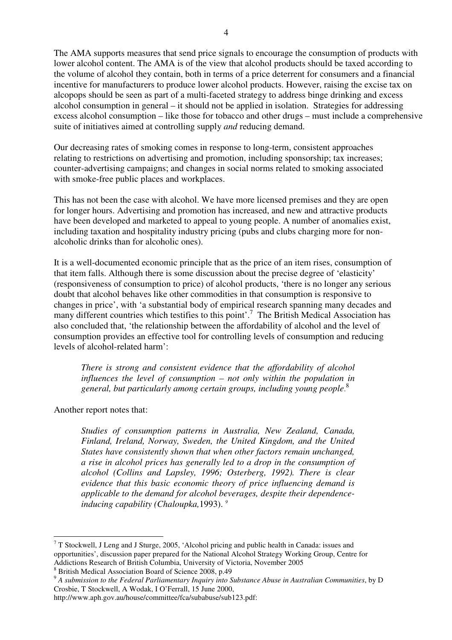The AMA supports measures that send price signals to encourage the consumption of products with lower alcohol content. The AMA is of the view that alcohol products should be taxed according to the volume of alcohol they contain, both in terms of a price deterrent for consumers and a financial incentive for manufacturers to produce lower alcohol products. However, raising the excise tax on alcopops should be seen as part of a multi-faceted strategy to address binge drinking and excess alcohol consumption in general – it should not be applied in isolation. Strategies for addressing excess alcohol consumption – like those for tobacco and other drugs – must include a comprehensive suite of initiatives aimed at controlling supply *and* reducing demand.

Our decreasing rates of smoking comes in response to long-term, consistent approaches relating to restrictions on advertising and promotion, including sponsorship; tax increases; counter-advertising campaigns; and changes in social norms related to smoking associated with smoke-free public places and workplaces.

This has not been the case with alcohol. We have more licensed premises and they are open for longer hours. Advertising and promotion has increased, and new and attractive products have been developed and marketed to appeal to young people. A number of anomalies exist, including taxation and hospitality industry pricing (pubs and clubs charging more for nonalcoholic drinks than for alcoholic ones).

It is a well-documented economic principle that as the price of an item rises, consumption of that item falls. Although there is some discussion about the precise degree of 'elasticity' (responsiveness of consumption to price) of alcohol products, 'there is no longer any serious doubt that alcohol behaves like other commodities in that consumption is responsive to changes in price', with 'a substantial body of empirical research spanning many decades and many different countries which testifies to this point'.<sup>7</sup> The British Medical Association has also concluded that, 'the relationship between the affordability of alcohol and the level of consumption provides an effective tool for controlling levels of consumption and reducing levels of alcohol-related harm':

*There is strong and consistent evidence that the affordability of alcohol influences the level of consumption – not only within the population in general, but particularly among certain groups, including young people*. 8

Another report notes that:

*Studies of consumption patterns in Australia, New Zealand, Canada, Finland, Ireland, Norway, Sweden, the United Kingdom, and the United States have consistently shown that when other factors remain unchanged, a rise in alcohol prices has generally led to a drop in the consumption of alcohol (Collins and Lapsley, 1996; Osterberg, 1992). There is clear evidence that this basic economic theory of price influencing demand is applicable to the demand for alcohol beverages, despite their dependenceinducing capability (Chaloupka,*1993). *<sup>9</sup>*

<sup>8</sup> British Medical Association Board of Science 2008, p.49

 $\overline{a}$  $7$  T Stockwell, J Leng and J Sturge, 2005, 'Alcohol pricing and public health in Canada: issues and opportunities', discussion paper prepared for the National Alcohol Strategy Working Group, Centre for Addictions Research of British Columbia, University of Victoria, November 2005

<sup>9</sup> *A submission to the Federal Parliamentary Inquiry into Substance Abuse in Australian Communities*, by D Crosbie, T Stockwell, A Wodak, I O'Ferrall, 15 June 2000,

http://www.aph.gov.au/house/committee/fca/subabuse/sub123.pdf: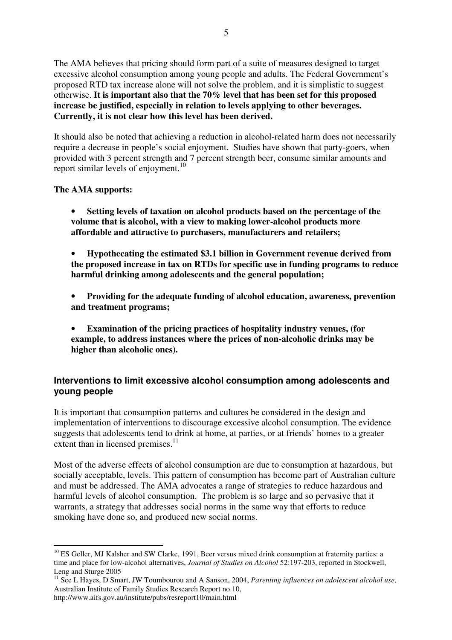The AMA believes that pricing should form part of a suite of measures designed to target excessive alcohol consumption among young people and adults. The Federal Government's proposed RTD tax increase alone will not solve the problem, and it is simplistic to suggest otherwise. **It is important also that the 70% level that has been set for this proposed increase be justified, especially in relation to levels applying to other beverages. Currently, it is not clear how this level has been derived.**

It should also be noted that achieving a reduction in alcohol-related harm does not necessarily require a decrease in people's social enjoyment. Studies have shown that party-goers, when provided with 3 percent strength and 7 percent strength beer, consume similar amounts and report similar levels of enjoyment.<sup>10</sup>

#### **The AMA supports:**

- **Setting levels of taxation on alcohol products based on the percentage of the volume that is alcohol, with a view to making lower-alcohol products more affordable and attractive to purchasers, manufacturers and retailers;**
- **Hypothecating the estimated \$3.1 billion in Government revenue derived from the proposed increase in tax on RTDs for specific use in funding programs to reduce harmful drinking among adolescents and the general population;**
- **Providing for the adequate funding of alcohol education, awareness, prevention and treatment programs;**
- **Examination of the pricing practices of hospitality industry venues, (for example, to address instances where the prices of non-alcoholic drinks may be higher than alcoholic ones).**

### **Interventions to limit excessive alcohol consumption among adolescents and young people**

It is important that consumption patterns and cultures be considered in the design and implementation of interventions to discourage excessive alcohol consumption. The evidence suggests that adolescents tend to drink at home, at parties, or at friends' homes to a greater extent than in licensed premises.<sup>11</sup>

Most of the adverse effects of alcohol consumption are due to consumption at hazardous, but socially acceptable, levels. This pattern of consumption has become part of Australian culture and must be addressed. The AMA advocates a range of strategies to reduce hazardous and harmful levels of alcohol consumption. The problem is so large and so pervasive that it warrants, a strategy that addresses social norms in the same way that efforts to reduce smoking have done so, and produced new social norms.

 $\overline{a}$ 

<sup>&</sup>lt;sup>10</sup> ES Geller, MJ Kalsher and SW Clarke, 1991, Beer versus mixed drink consumption at fraternity parties: a time and place for low-alcohol alternatives, *Journal of Studies on Alcohol* 52:197-203, reported in Stockwell, Leng and Sturge 2005

<sup>&</sup>lt;sup>11</sup> See L Hayes, D Smart, JW Toumbourou and A Sanson, 2004, *Parenting influences on adolescent alcohol use*, Australian Institute of Family Studies Research Report no.10,